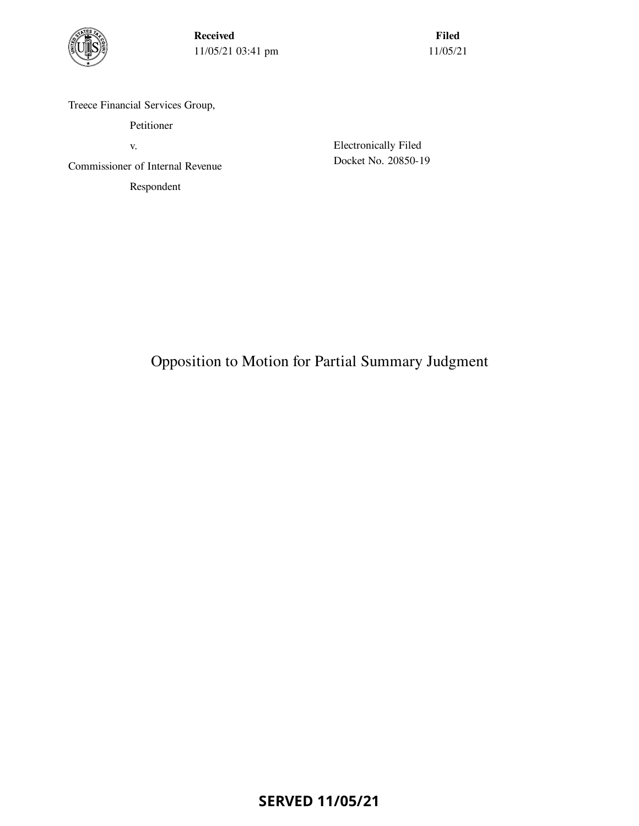

Received 11/05/21 03:41 pm

Filed 11/05/21

Treece Financial Services Group,

Petitioner

v.

Commissioner of Internal Revenue

Respondent

Electronically Filed Docket No. 20850-19

Opposition to Motion for Partial Summary Judgment

**SERVED 11/05/21**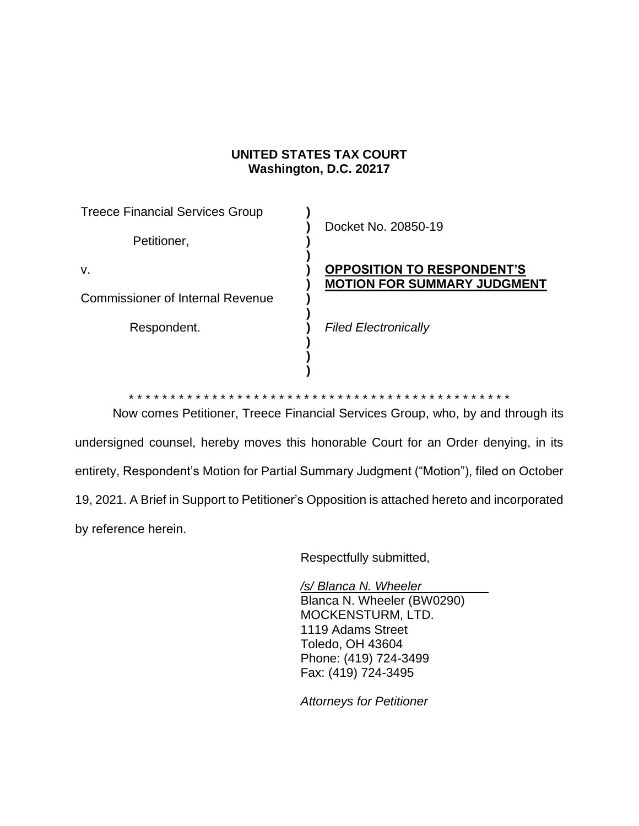# **UNITED STATES TAX COURT Washington, D.C. 20217**

| <b>Treece Financial Services Group</b>  | Docket No. 20850-19                                                     |
|-----------------------------------------|-------------------------------------------------------------------------|
| Petitioner,                             |                                                                         |
| V.                                      | <b>OPPOSITION TO RESPONDENT'S</b><br><b>MOTION FOR SUMMARY JUDGMENT</b> |
| <b>Commissioner of Internal Revenue</b> |                                                                         |
| Respondent.                             | <b>Filed Electronically</b>                                             |
|                                         |                                                                         |

\* \* \* \* \* \* \* \* \* \* \* \* \* \* \* \* \* \* \* \* \* \* \* \* \* \* \* \* \* \* \* \* \* \* \* \* \* \* \* \* \* \* \* \* \* \*

**)**

Now comes Petitioner, Treece Financial Services Group, who, by and through its undersigned counsel, hereby moves this honorable Court for an Order denying, in its entirety, Respondent's Motion for Partial Summary Judgment ("Motion"), filed on October 19, 2021. A Brief in Support to Petitioner's Opposition is attached hereto and incorporated by reference herein.

Respectfully submitted,

*/s/ Blanca N. Wheeler* Blanca N. Wheeler (BW0290) MOCKENSTURM, LTD. 1119 Adams Street Toledo, OH 43604 Phone: (419) 724-3499 Fax: (419) 724-3495

*Attorneys for Petitioner*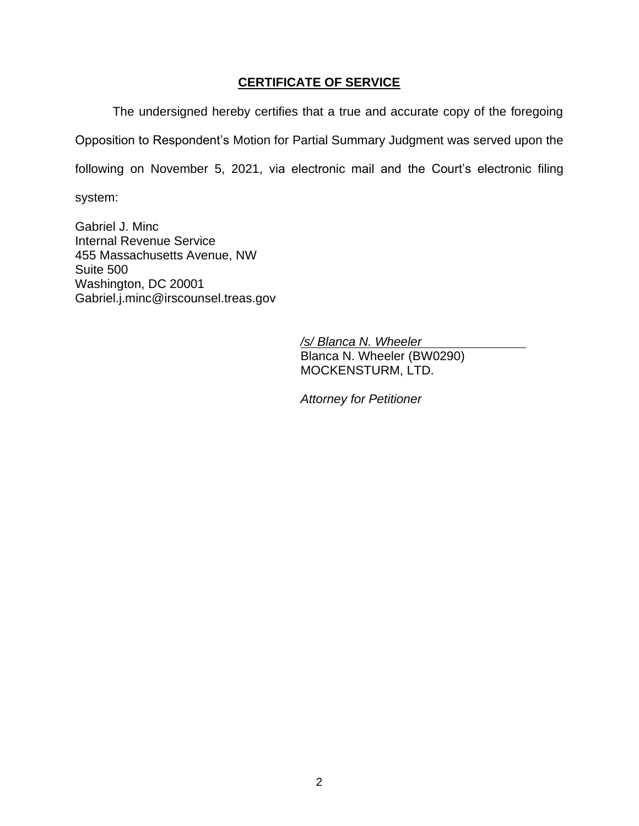## **CERTIFICATE OF SERVICE**

The undersigned hereby certifies that a true and accurate copy of the foregoing Opposition to Respondent's Motion for Partial Summary Judgment was served upon the following on November 5, 2021, via electronic mail and the Court's electronic filing

system:

Gabriel J. Minc Internal Revenue Service 455 Massachusetts Avenue, NW Suite 500 Washington, DC 20001 Gabriel.j.minc@irscounsel.treas.gov

> */s/ Blanca N. Wheeler* Blanca N. Wheeler (BW0290) MOCKENSTURM, LTD.

*Attorney for Petitioner*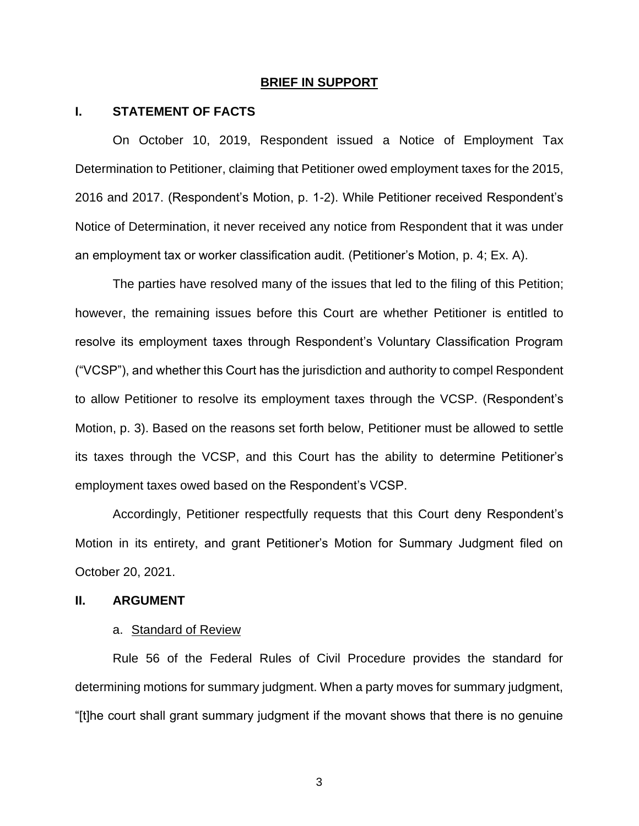#### **BRIEF IN SUPPORT**

### **I. STATEMENT OF FACTS**

On October 10, 2019, Respondent issued a Notice of Employment Tax Determination to Petitioner, claiming that Petitioner owed employment taxes for the 2015, 2016 and 2017. (Respondent's Motion, p. 1-2). While Petitioner received Respondent's Notice of Determination, it never received any notice from Respondent that it was under an employment tax or worker classification audit. (Petitioner's Motion, p. 4; Ex. A).

The parties have resolved many of the issues that led to the filing of this Petition; however, the remaining issues before this Court are whether Petitioner is entitled to resolve its employment taxes through Respondent's Voluntary Classification Program ("VCSP"), and whether this Court has the jurisdiction and authority to compel Respondent to allow Petitioner to resolve its employment taxes through the VCSP. (Respondent's Motion, p. 3). Based on the reasons set forth below, Petitioner must be allowed to settle its taxes through the VCSP, and this Court has the ability to determine Petitioner's employment taxes owed based on the Respondent's VCSP.

Accordingly, Petitioner respectfully requests that this Court deny Respondent's Motion in its entirety, and grant Petitioner's Motion for Summary Judgment filed on October 20, 2021.

### **II. ARGUMENT**

#### a. Standard of Review

Rule 56 of the Federal Rules of Civil Procedure provides the standard for determining motions for summary judgment. When a party moves for summary judgment, "[t]he court shall grant summary judgment if the movant shows that there is no genuine

3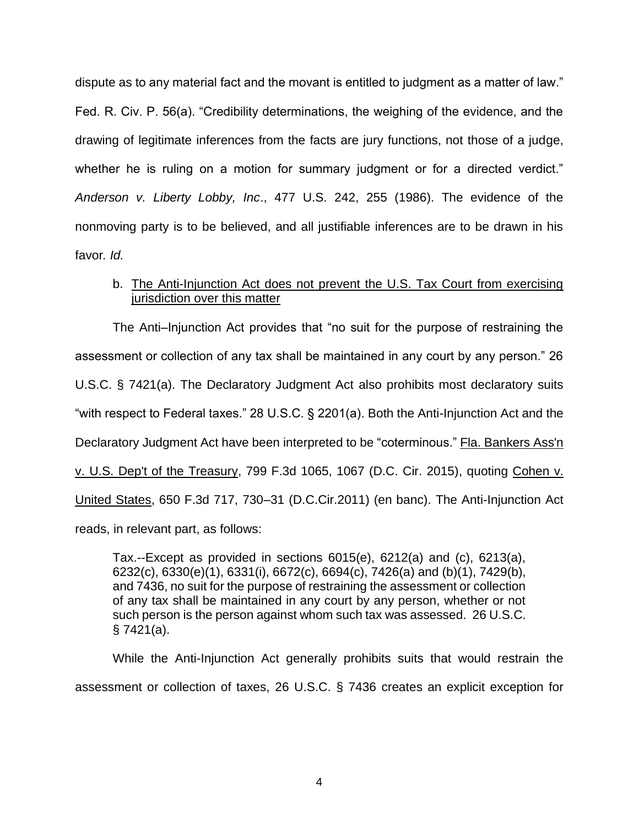dispute as to any material fact and the movant is entitled to judgment as a matter of law." Fed. R. Civ. P. 56(a). "Credibility determinations, the weighing of the evidence, and the drawing of legitimate inferences from the facts are jury functions, not those of a judge, whether he is ruling on a motion for summary judgment or for a directed verdict." *Anderson v. Liberty Lobby, Inc*., 477 U.S. 242, 255 (1986). The evidence of the nonmoving party is to be believed, and all justifiable inferences are to be drawn in his favor*. Id.*

## b. The Anti-Injunction Act does not prevent the U.S. Tax Court from exercising jurisdiction over this matter

The Anti–Injunction Act provides that "no suit for the purpose of restraining the assessment or collection of any tax shall be maintained in any court by any person." 26 U.S.C. § 7421(a). The Declaratory Judgment Act also prohibits most declaratory suits "with respect to Federal taxes." 28 U.S.C. § 2201(a). Both the Anti-Injunction Act and the Declaratory Judgment Act have been interpreted to be "coterminous." Fla. Bankers Ass'n v. U.S. Dep't of the Treasury, 799 F.3d 1065, 1067 (D.C. Cir. 2015), quoting Cohen v. United States, 650 F.3d 717, 730–31 (D.C.Cir.2011) (en banc). The Anti-Injunction Act reads, in relevant part, as follows:

Tax.--Except as provided in sections 6015(e), 6212(a) and (c), 6213(a), 6232(c), 6330(e)(1), 6331(i), 6672(c), 6694(c), 7426(a) and (b)(1), 7429(b), and 7436, no suit for the purpose of restraining the assessment or collection of any tax shall be maintained in any court by any person, whether or not such person is the person against whom such tax was assessed. 26 U.S.C. § 7421(a).

While the Anti-Injunction Act generally prohibits suits that would restrain the assessment or collection of taxes, 26 U.S.C. § 7436 creates an explicit exception for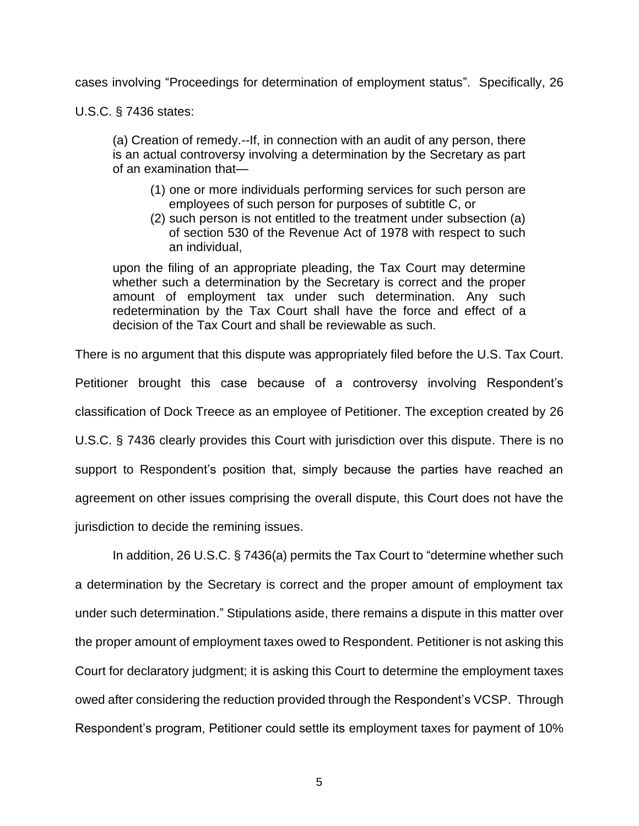cases involving "Proceedings for determination of employment status". Specifically, 26

U.S.C. § 7436 states:

(a) Creation of remedy.--If, in connection with an audit of any person, there is an actual controversy involving a determination by the Secretary as part of an examination that—

- (1) one or more individuals performing services for such person are employees of such person for purposes of subtitle C, or
- (2) such person is not entitled to the treatment under subsection (a) of section 530 of the Revenue Act of 1978 with respect to such an individual,

upon the filing of an appropriate pleading, the Tax Court may determine whether such a determination by the Secretary is correct and the proper amount of employment tax under such determination. Any such redetermination by the Tax Court shall have the force and effect of a decision of the Tax Court and shall be reviewable as such.

There is no argument that this dispute was appropriately filed before the U.S. Tax Court. Petitioner brought this case because of a controversy involving Respondent's classification of Dock Treece as an employee of Petitioner. The exception created by 26 U.S.C. § 7436 clearly provides this Court with jurisdiction over this dispute. There is no support to Respondent's position that, simply because the parties have reached an agreement on other issues comprising the overall dispute, this Court does not have the jurisdiction to decide the remining issues.

In addition, 26 U.S.C. § 7436(a) permits the Tax Court to "determine whether such a determination by the Secretary is correct and the proper amount of employment tax under such determination." Stipulations aside, there remains a dispute in this matter over the proper amount of employment taxes owed to Respondent. Petitioner is not asking this Court for declaratory judgment; it is asking this Court to determine the employment taxes owed after considering the reduction provided through the Respondent's VCSP. Through Respondent's program, Petitioner could settle its employment taxes for payment of 10%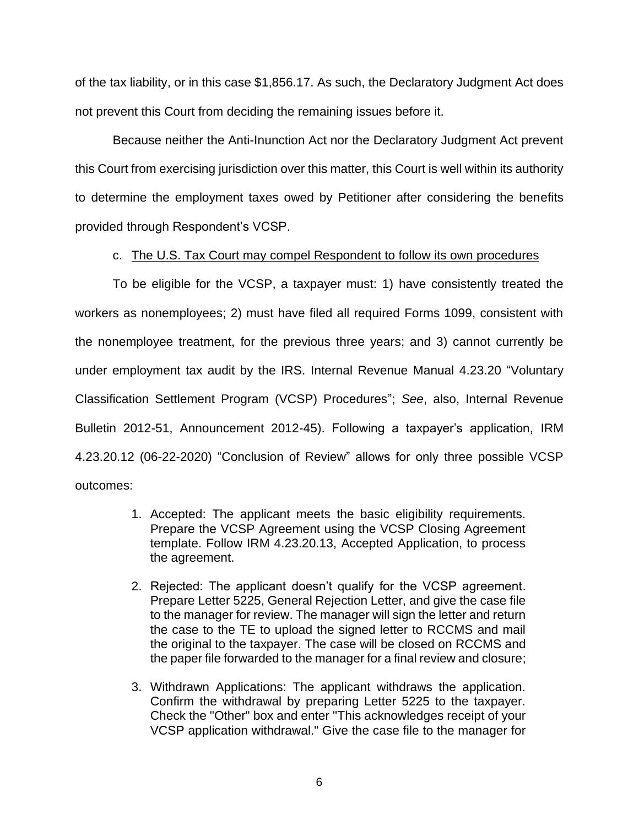of the tax liability, or in this case \$1,856.17. As such, the Declaratory Judgment Act does not prevent this Court from deciding the remaining issues before it.

Because neither the Anti-Inunction Act nor the Declaratory Judgment Act prevent this Court from exercising jurisdiction over this matter, this Court is well within its authority to determine the employment taxes owed by Petitioner after considering the benefits provided through Respondent's VCSP.

## c. The U.S. Tax Court may compel Respondent to follow its own procedures

To be eligible for the VCSP, a taxpayer must: 1) have consistently treated the workers as nonemployees; 2) must have filed all required Forms 1099, consistent with the nonemployee treatment, for the previous three years; and 3) cannot currently be under employment tax audit by the IRS. Internal Revenue Manual 4.23.20 "Voluntary Classification Settlement Program (VCSP) Procedures"; *See*, also, Internal Revenue Bulletin 2012-51, Announcement 2012-45). Following a taxpayer's application, IRM 4.23.20.12 (06-22-2020) "Conclusion of Review" allows for only three possible VCSP outcomes:

- 1. Accepted: The applicant meets the basic eligibility requirements. Prepare the VCSP Agreement using the VCSP Closing Agreement template. Follow IRM 4.23.20.13, Accepted Application, to process the agreement.
- 2. Rejected: The applicant doesn't qualify for the VCSP agreement. Prepare Letter 5225, General Rejection Letter, and give the case file to the manager for review. The manager will sign the letter and return the case to the TE to upload the signed letter to RCCMS and mail the original to the taxpayer. The case will be closed on RCCMS and the paper file forwarded to the manager for a final review and closure;
- 3. Withdrawn Applications: The applicant withdraws the application. Confirm the withdrawal by preparing Letter 5225 to the taxpayer. Check the "Other" box and enter "This acknowledges receipt of your VCSP application withdrawal." Give the case file to the manager for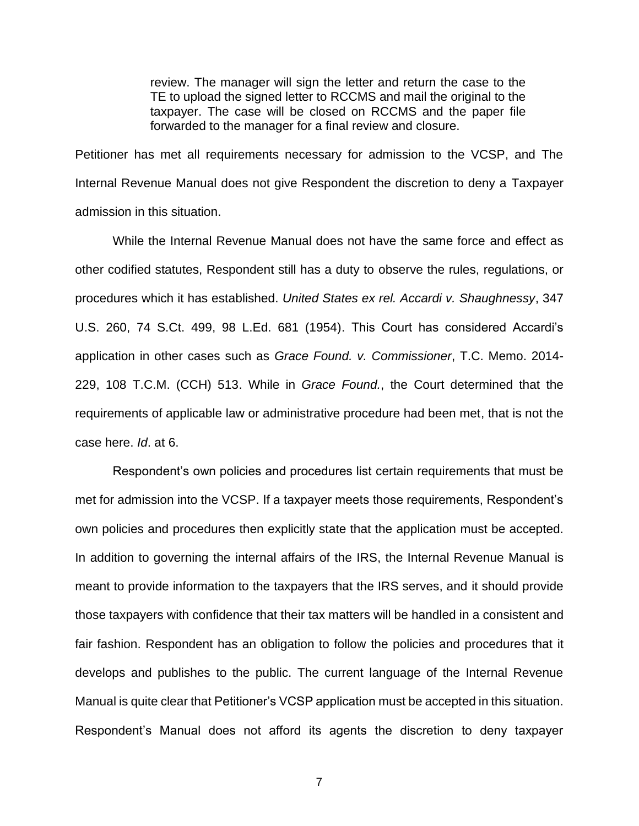review. The manager will sign the letter and return the case to the TE to upload the signed letter to RCCMS and mail the original to the taxpayer. The case will be closed on RCCMS and the paper file forwarded to the manager for a final review and closure.

Petitioner has met all requirements necessary for admission to the VCSP, and The Internal Revenue Manual does not give Respondent the discretion to deny a Taxpayer admission in this situation.

While the Internal Revenue Manual does not have the same force and effect as other codified statutes, Respondent still has a duty to observe the rules, regulations, or procedures which it has established. *United States ex rel. Accardi v. Shaughnessy*, 347 U.S. 260, 74 S.Ct. 499, 98 L.Ed. 681 (1954). This Court has considered Accardi's application in other cases such as *Grace Found. v. Commissioner*, T.C. Memo. 2014- 229, 108 T.C.M. (CCH) 513. While in *Grace Found.*, the Court determined that the requirements of applicable law or administrative procedure had been met, that is not the case here. *Id*. at 6.

Respondent's own policies and procedures list certain requirements that must be met for admission into the VCSP. If a taxpayer meets those requirements, Respondent's own policies and procedures then explicitly state that the application must be accepted. In addition to governing the internal affairs of the IRS, the Internal Revenue Manual is meant to provide information to the taxpayers that the IRS serves, and it should provide those taxpayers with confidence that their tax matters will be handled in a consistent and fair fashion. Respondent has an obligation to follow the policies and procedures that it develops and publishes to the public. The current language of the Internal Revenue Manual is quite clear that Petitioner's VCSP application must be accepted in this situation. Respondent's Manual does not afford its agents the discretion to deny taxpayer

7